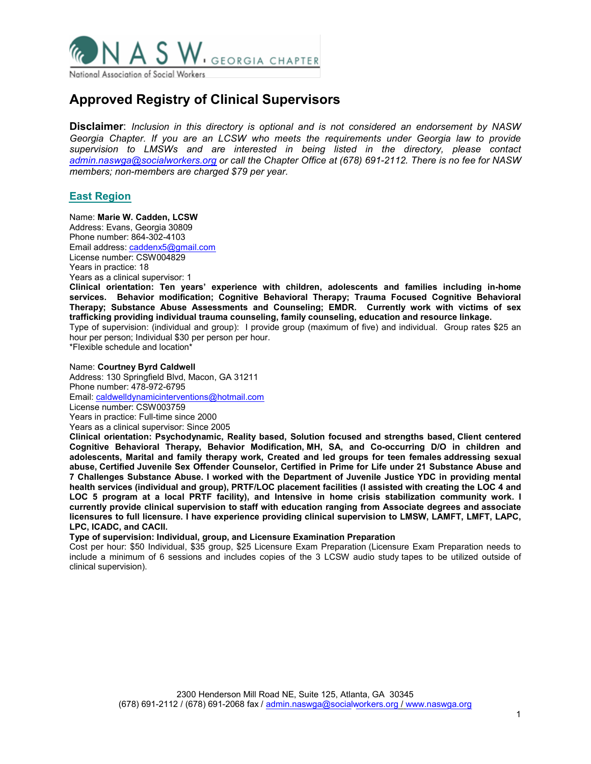

# **Approved Registry of Clinical Supervisors**

Disclaimer: Inclusion in this directory is optional and is not considered an endorsement by NASW Georgia Chapter. If you are an LCSW who meets the requirements under Georgia law to provide supervision to LMSWs and are interested in being listed in the directory, please contact admin.naswga@socialworkers.org or call the Chapter Office at (678) 691-2112. There is no fee for NASW members; non-members are charged \$79 per year.

### East Region

Name: Marie W. Cadden, LCSW Address: Evans, Georgia 30809 Phone number: 864-302-4103 Email address: caddenx5@gmail.com License number: CSW004829 Years in practice: 18 Years as a clinical supervisor: 1

Clinical orientation: Ten years' experience with children, adolescents and families including in-home services. Behavior modification; Cognitive Behavioral Therapy; Trauma Focused Cognitive Behavioral Therapy; Substance Abuse Assessments and Counseling; EMDR. Currently work with victims of sex trafficking providing individual trauma counseling, family counseling, education and resource linkage. Type of supervision: (individual and group): I provide group (maximum of five) and individual. Group rates \$25 an

hour per person; Individual \$30 per person per hour.

\*Flexible schedule and location\*

Name: Courtney Byrd Caldwell Address: 130 Springfield Blvd, Macon, GA 31211 Phone number: 478-972-6795 Email: caldwelldynamicinterventions@hotmail.com License number: CSW003759

Years in practice: Full-time since 2000 Years as a clinical supervisor: Since 2005

Clinical orientation: Psychodynamic, Reality based, Solution focused and strengths based, Client centered Cognitive Behavioral Therapy, Behavior Modification, MH, SA, and Co-occurring D/O in children and adolescents, Marital and family therapy work, Created and led groups for teen females addressing sexual abuse, Certified Juvenile Sex Offender Counselor, Certified in Prime for Life under 21 Substance Abuse and 7 Challenges Substance Abuse. I worked with the Department of Juvenile Justice YDC in providing mental health services (individual and group), PRTF/LOC placement facilities (I assisted with creating the LOC 4 and LOC 5 program at a local PRTF facility), and Intensive in home crisis stabilization community work. I currently provide clinical supervision to staff with education ranging from Associate degrees and associate licensures to full licensure. I have experience providing clinical supervision to LMSW, LAMFT, LMFT, LAPC, LPC, ICADC, and CACII.

Type of supervision: Individual, group, and Licensure Examination Preparation

Cost per hour: \$50 Individual, \$35 group, \$25 Licensure Exam Preparation (Licensure Exam Preparation needs to include a minimum of 6 sessions and includes copies of the 3 LCSW audio study tapes to be utilized outside of clinical supervision).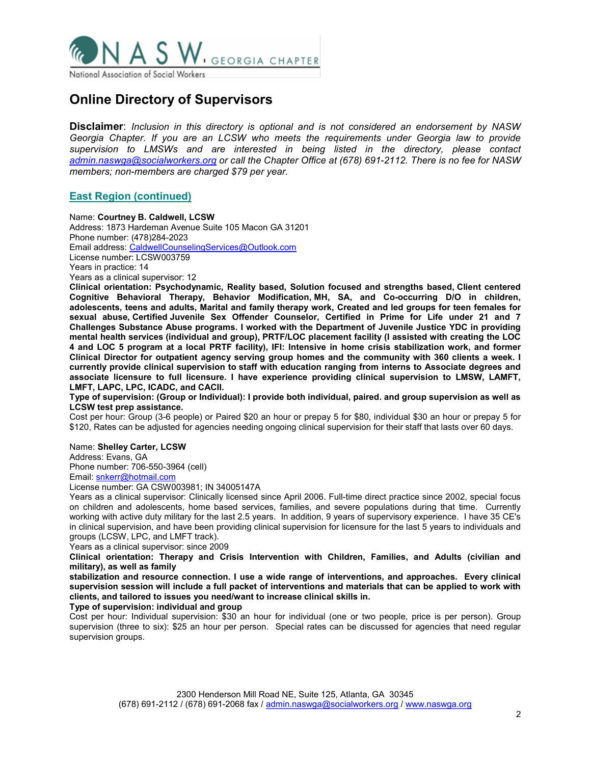

Disclaimer: Inclusion in this directory is optional and is not considered an endorsement by NASW Georgia Chapter. If you are an LCSW who meets the requirements under Georgia law to provide supervision to LMSWs and are interested in being listed in the directory, please contact admin.naswga@socialworkers.org or call the Chapter Office at (678) 691-2112. There is no fee for NASW members; non-members are charged \$79 per year.

### East Region (continued)

Name: Courtney B. Caldwell, LCSW

Address: 1873 Hardeman Avenue Suite 105 Macon GA 31201 Phone number: (478)284-2023 Email address: CaldwellCounselingServices@Outlook.com License number: LCSW003759 Years in practice: 14 Years as a clinical supervisor: 12

Clinical orientation: Psychodynamic, Reality based, Solution focused and strengths based, Client centered Cognitive Behavioral Therapy, Behavior Modification, MH, SA, and Co-occurring D/O in children, adolescents, teens and adults, Marital and family therapy work, Created and led groups for teen females for sexual abuse, Certified Juvenile Sex Offender Counselor, Certified in Prime for Life under 21 and 7 Challenges Substance Abuse programs. I worked with the Department of Juvenile Justice YDC in providing mental health services (individual and group), PRTF/LOC placement facility (I assisted with creating the LOC 4 and LOC 5 program at a local PRTF facility), IFI: Intensive in home crisis stabilization work, and former Clinical Director for outpatient agency serving group homes and the community with 360 clients a week. I currently provide clinical supervision to staff with education ranging from interns to Associate degrees and associate licensure to full licensure. I have experience providing clinical supervision to LMSW, LAMFT, LMFT, LAPC, LPC, ICADC, and CACII.

Type of supervision: (Group or Individual): I provide both individual, paired. and group supervision as well as LCSW test prep assistance.

Cost per hour: Group (3-6 people) or Paired \$20 an hour or prepay 5 for \$80, individual \$30 an hour or prepay 5 for \$120, Rates can be adjusted for agencies needing ongoing clinical supervision for their staff that lasts over 60 days.

#### Name: Shelley Carter, LCSW

Address: Evans, GA

Phone number: 706-550-3964 (cell)

Email: snkerr@hotmail.com

License number: GA CSW003981; IN 34005147A

Years as a clinical supervisor: Clinically licensed since April 2006. Full-time direct practice since 2002, special focus on children and adolescents, home based services, families, and severe populations during that time. Currently working with active duty military for the last 2.5 years. In addition, 9 years of supervisory experience. I have 35 CE's in clinical supervision, and have been providing clinical supervision for licensure for the last 5 years to individuals and groups (LCSW, LPC, and LMFT track).

Years as a clinical supervisor: since 2009

Clinical orientation: Therapy and Crisis Intervention with Children, Families, and Adults (civilian and military), as well as family

stabilization and resource connection. I use a wide range of interventions, and approaches. Every clinical supervision session will include a full packet of interventions and materials that can be applied to work with clients, and tailored to issues you need/want to increase clinical skills in.

#### Type of supervision: individual and group

Cost per hour: Individual supervision: \$30 an hour for individual (one or two people, price is per person). Group supervision (three to six): \$25 an hour per person. Special rates can be discussed for agencies that need regular supervision groups.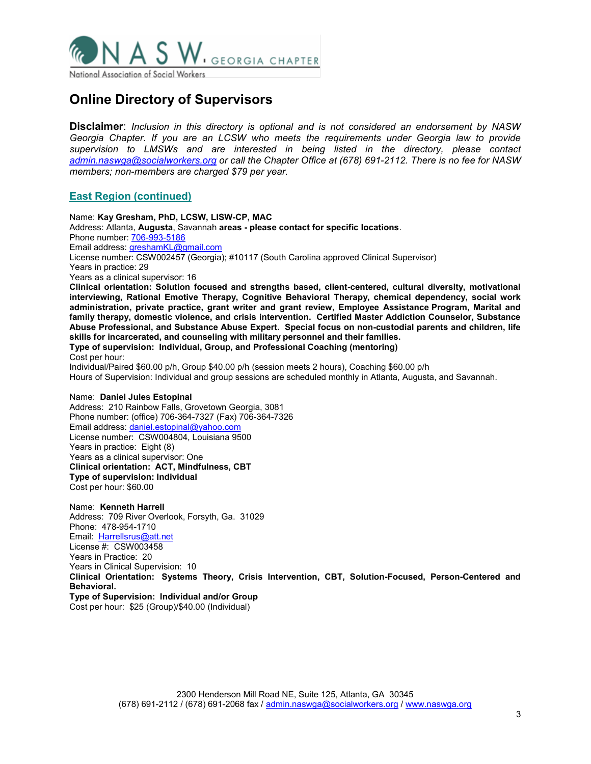

Disclaimer: Inclusion in this directory is optional and is not considered an endorsement by NASW Georgia Chapter. If you are an LCSW who meets the requirements under Georgia law to provide supervision to LMSWs and are interested in being listed in the directory, please contact admin.naswga@socialworkers.org or call the Chapter Office at (678) 691-2112. There is no fee for NASW members; non-members are charged \$79 per year.

### East Region (continued)

Name: Kay Gresham, PhD, LCSW, LISW-CP, MAC Address: Atlanta, Augusta, Savannah areas - please contact for specific locations. Phone number: 706-993-5186 Email address: greshamKL@gmail.com License number: CSW002457 (Georgia); #10117 (South Carolina approved Clinical Supervisor) Years in practice: 29 Years as a clinical supervisor: 16 Clinical orientation: Solution focused and strengths based, client-centered, cultural diversity, motivational interviewing, Rational Emotive Therapy, Cognitive Behavioral Therapy, chemical dependency, social work administration, private practice, grant writer and grant review, Employee Assistance Program, Marital and family therapy, domestic violence, and crisis intervention. Certified Master Addiction Counselor, Substance Abuse Professional, and Substance Abuse Expert. Special focus on non-custodial parents and children, life skills for incarcerated, and counseling with military personnel and their families. Type of supervision: Individual, Group, and Professional Coaching (mentoring) Cost per hour: Individual/Paired \$60.00 p/h, Group \$40.00 p/h (session meets 2 hours), Coaching \$60.00 p/h Hours of Supervision: Individual and group sessions are scheduled monthly in Atlanta, Augusta, and Savannah. Name: Daniel Jules Estopinal Address: 210 Rainbow Falls, Grovetown Georgia, 3081 Phone number: (office) 706-364-7327 (Fax) 706-364-7326 Email address: daniel.estopinal@yahoo.com License number: CSW004804, Louisiana 9500 Years in practice: Eight (8)

Years as a clinical supervisor: One

Clinical orientation: ACT, Mindfulness, CBT Type of supervision: Individual

Cost per hour: \$60.00

Name: Kenneth Harrell Address: 709 River Overlook, Forsyth, Ga. 31029 Phone: 478-954-1710 Email: Harrellsrus@att.net License #: CSW003458 Years in Practice: 20 Years in Clinical Supervision: 10 Clinical Orientation: Systems Theory, Crisis Intervention, CBT, Solution-Focused, Person-Centered and Behavioral. Type of Supervision: Individual and/or Group

Cost per hour: \$25 (Group)/\$40.00 (Individual)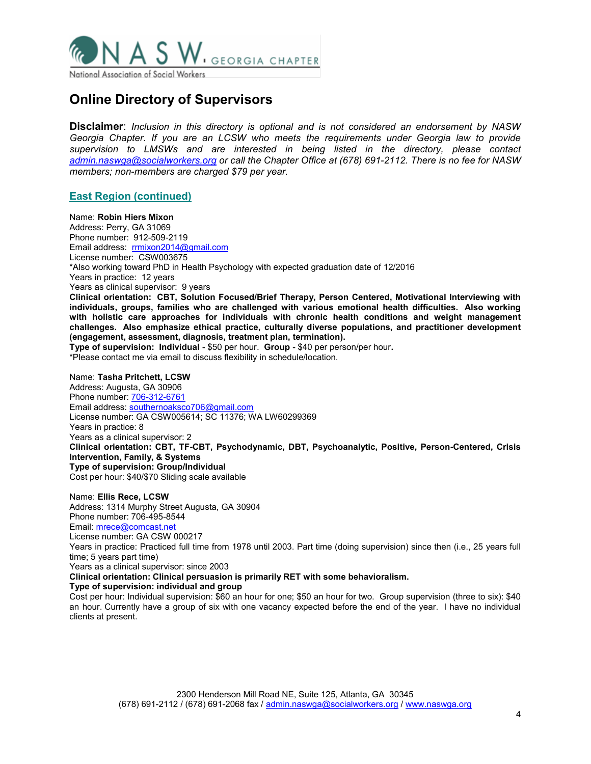

Disclaimer: Inclusion in this directory is optional and is not considered an endorsement by NASW Georgia Chapter. If you are an LCSW who meets the requirements under Georgia law to provide supervision to LMSWs and are interested in being listed in the directory, please contact admin.naswga@socialworkers.org or call the Chapter Office at (678) 691-2112. There is no fee for NASW members; non-members are charged \$79 per year.

### East Region (continued)

Name: Robin Hiers Mixon Address: Perry, GA 31069 Phone number: 912-509-2119 Email address: rrmixon2014@gmail.com License number: CSW003675 \*Also working toward PhD in Health Psychology with expected graduation date of 12/2016 Years in practice: 12 years Years as clinical supervisor: 9 years Clinical orientation: CBT, Solution Focused/Brief Therapy, Person Centered, Motivational Interviewing with individuals, groups, families who are challenged with various emotional health difficulties. Also working with holistic care approaches for individuals with chronic health conditions and weight management challenges. Also emphasize ethical practice, culturally diverse populations, and practitioner development (engagement, assessment, diagnosis, treatment plan, termination). Type of supervision: Individual - \$50 per hour. Group - \$40 per person/per hour. \*Please contact me via email to discuss flexibility in schedule/location. Name: Tasha Pritchett, LCSW Address: Augusta, GA 30906 Phone number: 706-312-6761 Email address: southernoaksco706@gmail.com License number: GA CSW005614; SC 11376; WA LW60299369 Years in practice: 8 Years as a clinical supervisor: 2

Clinical orientation: CBT, TF-CBT, Psychodynamic, DBT, Psychoanalytic, Positive, Person-Centered, Crisis Intervention, Family, & Systems

Type of supervision: Group/Individual Cost per hour: \$40/\$70 Sliding scale available

Name: Ellis Rece, LCSW Address: 1314 Murphy Street Augusta, GA 30904 Phone number: 706-495-8544 Email: mrece@comcast.net License number: GA CSW 000217 Years in practice: Practiced full time from 1978 until 2003. Part time (doing supervision) since then (i.e., 25 years full time; 5 years part time) Years as a clinical supervisor: since 2003 Clinical orientation: Clinical persuasion is primarily RET with some behavioralism. Type of supervision: individual and group

Cost per hour: Individual supervision: \$60 an hour for one; \$50 an hour for two. Group supervision (three to six): \$40 an hour. Currently have a group of six with one vacancy expected before the end of the year. I have no individual clients at present.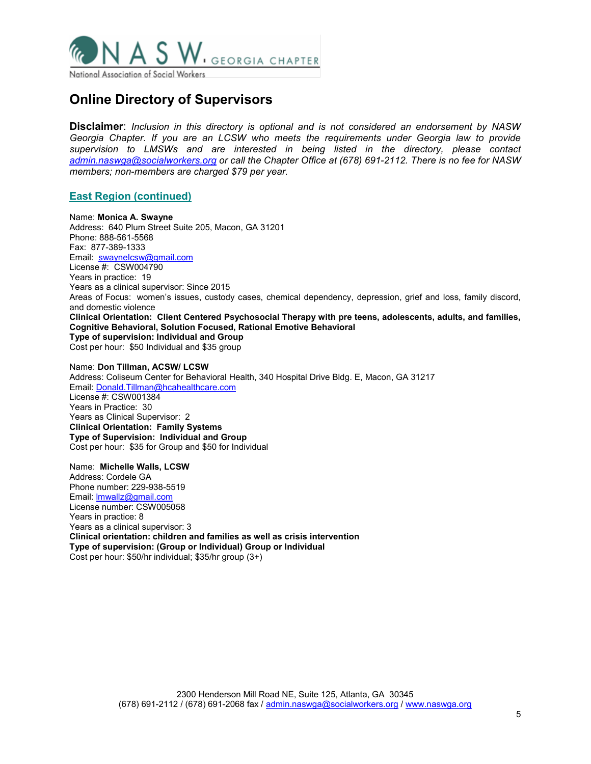

Disclaimer: Inclusion in this directory is optional and is not considered an endorsement by NASW Georgia Chapter. If you are an LCSW who meets the requirements under Georgia law to provide supervision to LMSWs and are interested in being listed in the directory, please contact admin.naswga@socialworkers.org or call the Chapter Office at (678) 691-2112. There is no fee for NASW members; non-members are charged \$79 per year.

### East Region (continued)

Name: Monica A. Swayne Address: 640 Plum Street Suite 205, Macon, GA 31201 Phone: 888-561-5568 Fax: 877-389-1333 Email: swaynelcsw@gmail.com License #: CSW004790 Years in practice: 19 Years as a clinical supervisor: Since 2015 Areas of Focus: women's issues, custody cases, chemical dependency, depression, grief and loss, family discord, and domestic violence Clinical Orientation: Client Centered Psychosocial Therapy with pre teens, adolescents, adults, and families, Cognitive Behavioral, Solution Focused, Rational Emotive Behavioral Type of supervision: Individual and Group

Cost per hour: \$50 Individual and \$35 group

Name: Don Tillman, ACSW/ LCSW Address: Coliseum Center for Behavioral Health, 340 Hospital Drive Bldg. E, Macon, GA 31217 Email: Donald.Tillman@hcahealthcare.com License #: CSW001384 Years in Practice: 30 Years as Clinical Supervisor: 2 Clinical Orientation: Family Systems Type of Supervision: Individual and Group Cost per hour: \$35 for Group and \$50 for Individual

Name: Michelle Walls, LCSW Address: Cordele GA Phone number: 229-938-5519 Email: lmwallz@gmail.com License number: CSW005058 Years in practice: 8 Years as a clinical supervisor: 3 Clinical orientation: children and families as well as crisis intervention Type of supervision: (Group or Individual) Group or Individual Cost per hour: \$50/hr individual; \$35/hr group (3+)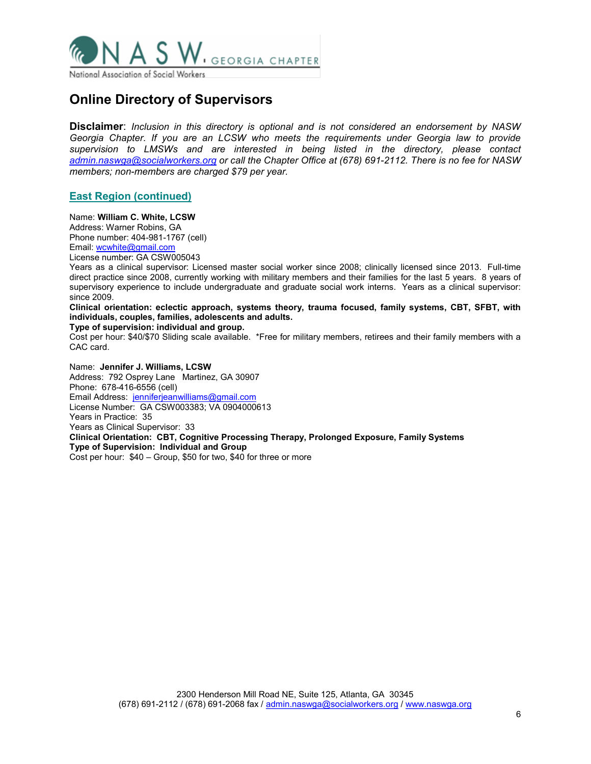

Disclaimer: Inclusion in this directory is optional and is not considered an endorsement by NASW Georgia Chapter. If you are an LCSW who meets the requirements under Georgia law to provide supervision to LMSWs and are interested in being listed in the directory, please contact admin.naswga@socialworkers.org or call the Chapter Office at (678) 691-2112. There is no fee for NASW members; non-members are charged \$79 per year.

### East Region (continued)

Name: William C. White, LCSW

Address: Warner Robins, GA Phone number: 404-981-1767 (cell) Email: wcwhite@gmail.com License number: GA CSW005043

Years as a clinical supervisor: Licensed master social worker since 2008; clinically licensed since 2013. Full-time direct practice since 2008, currently working with military members and their families for the last 5 years. 8 years of supervisory experience to include undergraduate and graduate social work interns. Years as a clinical supervisor: since 2009.

Clinical orientation: eclectic approach, systems theory, trauma focused, family systems, CBT, SFBT, with individuals, couples, families, adolescents and adults.

#### Type of supervision: individual and group.

Cost per hour: \$40/\$70 Sliding scale available. \*Free for military members, retirees and their family members with a CAC card.

Name: Jennifer J. Williams, LCSW Address: 792 Osprey Lane Martinez, GA 30907 Phone: 678-416-6556 (cell) Email Address: jenniferjeanwilliams@gmail.com License Number: GA CSW003383; VA 0904000613 Years in Practice: 35 Years as Clinical Supervisor: 33 Clinical Orientation: CBT, Cognitive Processing Therapy, Prolonged Exposure, Family Systems Type of Supervision: Individual and Group Cost per hour: \$40 – Group, \$50 for two, \$40 for three or more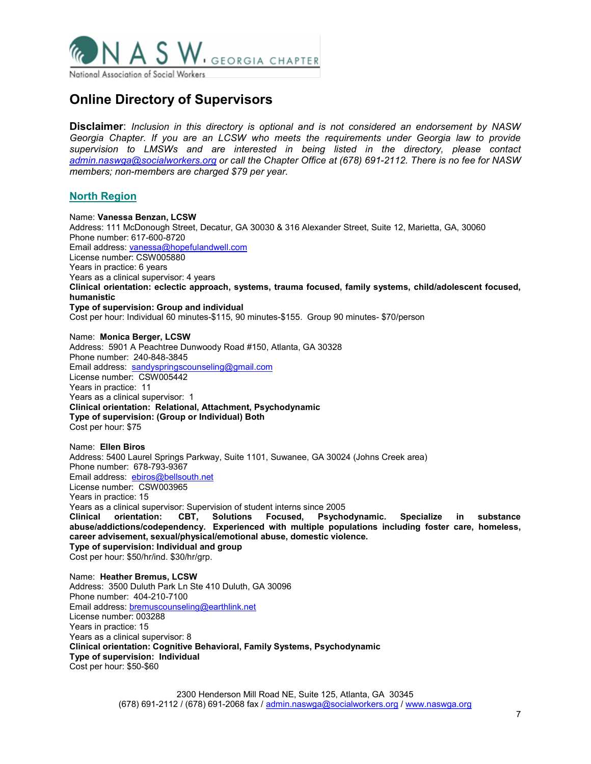

Disclaimer: Inclusion in this directory is optional and is not considered an endorsement by NASW Georgia Chapter. If you are an LCSW who meets the requirements under Georgia law to provide supervision to LMSWs and are interested in being listed in the directory, please contact admin.naswga@socialworkers.org or call the Chapter Office at (678) 691-2112. There is no fee for NASW members; non-members are charged \$79 per year.

### North Region

Name: Vanessa Benzan, LCSW Address: 111 McDonough Street, Decatur, GA 30030 & 316 Alexander Street, Suite 12, Marietta, GA, 30060 Phone number: 617-600-8720 Email address: vanessa@hopefulandwell.com License number: CSW005880 Years in practice: 6 years Years as a clinical supervisor: 4 years Clinical orientation: eclectic approach, systems, trauma focused, family systems, child/adolescent focused, humanistic Type of supervision: Group and individual Cost per hour: Individual 60 minutes-\$115, 90 minutes-\$155. Group 90 minutes- \$70/person Name: Monica Berger, LCSW Address: 5901 A Peachtree Dunwoody Road #150, Atlanta, GA 30328 Phone number: 240-848-3845 Email address: sandyspringscounseling@gmail.com License number: CSW005442 Years in practice: 11 Years as a clinical supervisor: 1 Clinical orientation: Relational, Attachment, Psychodynamic Type of supervision: (Group or Individual) Both Cost per hour: \$75 Name: Ellen Biros Address: 5400 Laurel Springs Parkway, Suite 1101, Suwanee, GA 30024 (Johns Creek area) Phone number: 678-793-9367 Email address: ebiros@bellsouth.net License number: CSW003965 Years in practice: 15

Years as a clinical supervisor: Supervision of student interns since 2005

Clinical orientation: CBT, Solutions Focused, Psychodynamic. Specialize in substance abuse/addictions/codependency. Experienced with multiple populations including foster care, homeless, career advisement, sexual/physical/emotional abuse, domestic violence. Type of supervision: Individual and group

Cost per hour: \$50/hr/ind. \$30/hr/grp.

Name: Heather Bremus, LCSW Address: 3500 Duluth Park Ln Ste 410 Duluth, GA 30096 Phone number: 404-210-7100 Email address: bremuscounseling@earthlink.net License number: 003288 Years in practice: 15 Years as a clinical supervisor: 8 Clinical orientation: Cognitive Behavioral, Family Systems, Psychodynamic Type of supervision: Individual Cost per hour: \$50-\$60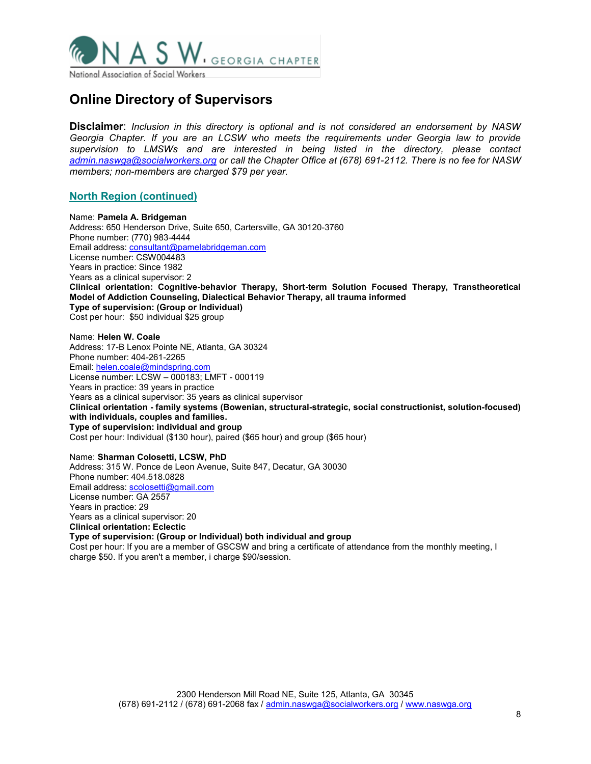

Disclaimer: Inclusion in this directory is optional and is not considered an endorsement by NASW Georgia Chapter. If you are an LCSW who meets the requirements under Georgia law to provide supervision to LMSWs and are interested in being listed in the directory, please contact admin.naswga@socialworkers.org or call the Chapter Office at (678) 691-2112. There is no fee for NASW members; non-members are charged \$79 per year.

### North Region (continued)

Name: Pamela A. Bridgeman Address: 650 Henderson Drive, Suite 650, Cartersville, GA 30120-3760 Phone number: (770) 983-4444 Email address: consultant@pamelabridgeman.com License number: CSW004483 Years in practice: Since 1982 Years as a clinical supervisor: 2 Clinical orientation: Cognitive-behavior Therapy, Short-term Solution Focused Therapy, Transtheoretical Model of Addiction Counseling, Dialectical Behavior Therapy, all trauma informed Type of supervision: (Group or Individual) Cost per hour: \$50 individual \$25 group

Name: Helen W. Coale Address: 17-B Lenox Pointe NE, Atlanta, GA 30324 Phone number: 404-261-2265 Email: helen.coale@mindspring.com License number: LCSW – 000183; LMFT - 000119 Years in practice: 39 years in practice Years as a clinical supervisor: 35 years as clinical supervisor Clinical orientation - family systems (Bowenian, structural-strategic, social constructionist, solution-focused) with individuals, couples and families. Type of supervision: individual and group Cost per hour: Individual (\$130 hour), paired (\$65 hour) and group (\$65 hour)

Name: Sharman Colosetti, LCSW, PhD Address: 315 W. Ponce de Leon Avenue, Suite 847, Decatur, GA 30030 Phone number: 404.518.0828 Email address: scolosetti@gmail.com License number: GA 2557 Years in practice: 29 Years as a clinical supervisor: 20 Clinical orientation: Eclectic Type of supervision: (Group or Individual) both individual and group Cost per hour: If you are a member of GSCSW and bring a certificate of attendance from the monthly meeting, I charge \$50. If you aren't a member, i charge \$90/session.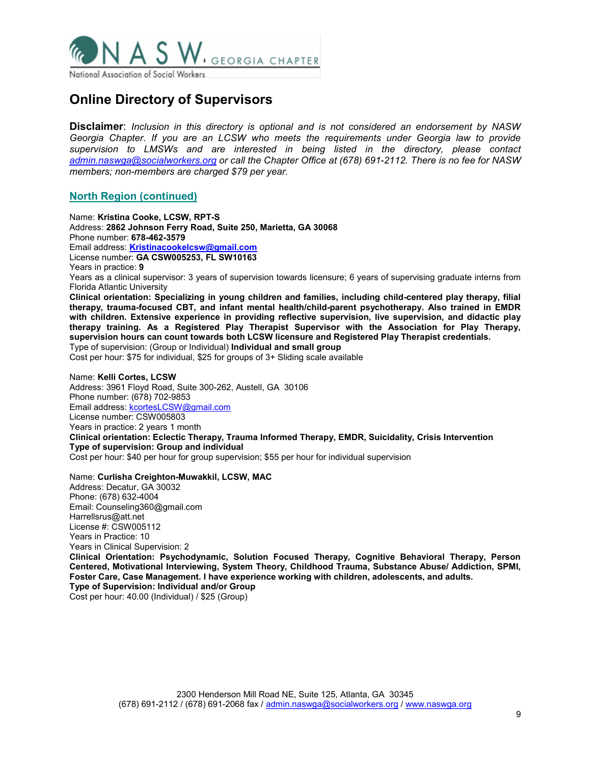

Disclaimer: Inclusion in this directory is optional and is not considered an endorsement by NASW Georgia Chapter. If you are an LCSW who meets the requirements under Georgia law to provide supervision to LMSWs and are interested in being listed in the directory, please contact admin.naswga@socialworkers.org or call the Chapter Office at (678) 691-2112. There is no fee for NASW members; non-members are charged \$79 per year.

### North Region (continued)

Name: Kristina Cooke, LCSW, RPT-S Address: 2862 Johnson Ferry Road, Suite 250, Marietta, GA 30068 Phone number: 678-462-3579 Email address: Kristinacookelcsw@gmail.com License number: GA CSW005253, FL SW10163 Years in practice: 9 Years as a clinical supervisor: 3 years of supervision towards licensure; 6 years of supervising graduate interns from Florida Atlantic University Clinical orientation: Specializing in young children and families, including child-centered play therapy, filial therapy, trauma-focused CBT, and infant mental health/child-parent psychotherapy. Also trained in EMDR with children. Extensive experience in providing reflective supervision, live supervision, and didactic play therapy training. As a Registered Play Therapist Supervisor with the Association for Play Therapy, supervision hours can count towards both LCSW licensure and Registered Play Therapist credentials. Type of supervision: (Group or Individual) Individual and small group Cost per hour: \$75 for individual, \$25 for groups of 3+ Sliding scale available Name: Kelli Cortes, LCSW Address: 3961 Floyd Road, Suite 300-262, Austell, GA 30106 Phone number: (678) 702-9853 Email address: kcortesLCSW@gmail.com License number: CSW005803 Years in practice: 2 years 1 month Clinical orientation: Eclectic Therapy, Trauma Informed Therapy, EMDR, Suicidality, Crisis Intervention Type of supervision: Group and individual

Cost per hour: \$40 per hour for group supervision; \$55 per hour for individual supervision

Name: Curlisha Creighton-Muwakkil, LCSW, MAC

Address: Decatur, GA 30032 Phone: (678) 632-4004 Email: Counseling360@gmail.com Harrellsrus@att.net License #: CSW005112 Years in Practice: 10 Years in Clinical Supervision: 2 Clinical Orientation: Psychodynamic, Solution Focused Therapy, Cognitive Behavioral Therapy, Person Centered, Motivational Interviewing, System Theory, Childhood Trauma, Substance Abuse/ Addiction, SPMI, Foster Care, Case Management. I have experience working with children, adolescents, and adults. Type of Supervision: Individual and/or Group

Cost per hour: 40.00 (Individual) / \$25 (Group)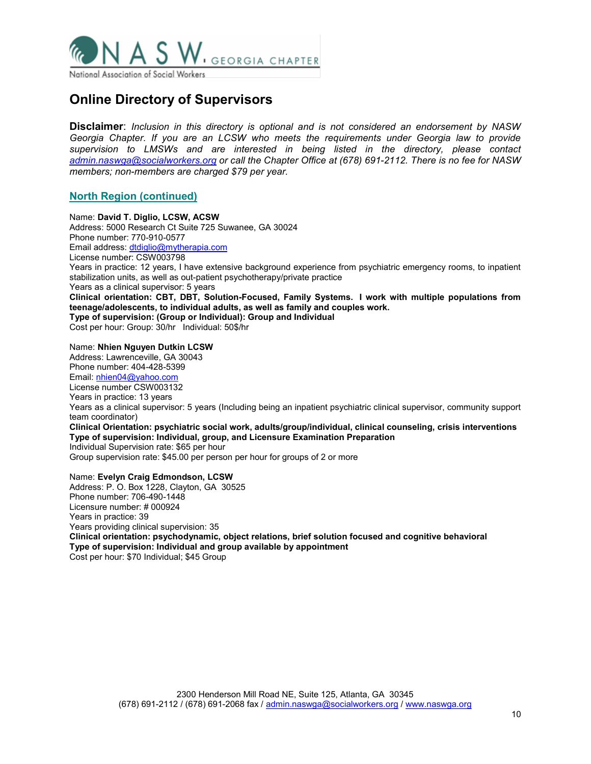

Disclaimer: Inclusion in this directory is optional and is not considered an endorsement by NASW Georgia Chapter. If you are an LCSW who meets the requirements under Georgia law to provide supervision to LMSWs and are interested in being listed in the directory, please contact admin.naswga@socialworkers.org or call the Chapter Office at (678) 691-2112. There is no fee for NASW members; non-members are charged \$79 per year.

### North Region (continued)

Name: David T. Diglio, LCSW, ACSW Address: 5000 Research Ct Suite 725 Suwanee, GA 30024 Phone number: 770-910-0577 Email address: dtdiglio@mytherapia.com License number: CSW003798 Years in practice: 12 years, I have extensive background experience from psychiatric emergency rooms, to inpatient stabilization units, as well as out-patient psychotherapy/private practice Years as a clinical supervisor: 5 years Clinical orientation: CBT, DBT, Solution-Focused, Family Systems. I work with multiple populations from teenage/adolescents, to individual adults, as well as family and couples work. Type of supervision: (Group or Individual): Group and Individual Cost per hour: Group: 30/hr Individual: 50\$/hr Name: Nhien Nguyen Dutkin LCSW Address: Lawrenceville, GA 30043 Phone number: 404-428-5399 Email: nhien04@yahoo.com License number CSW003132 Years in practice: 13 years Years as a clinical supervisor: 5 years (Including being an inpatient psychiatric clinical supervisor, community support team coordinator) Clinical Orientation: psychiatric social work, adults/group/individual, clinical counseling, crisis interventions Type of supervision: Individual, group, and Licensure Examination Preparation Individual Supervision rate: \$65 per hour Group supervision rate: \$45.00 per person per hour for groups of 2 or more

Name: Evelyn Craig Edmondson, LCSW Address: P. O. Box 1228, Clayton, GA 30525 Phone number: 706-490-1448 Licensure number: # 000924 Years in practice: 39 Years providing clinical supervision: 35 Clinical orientation: psychodynamic, object relations, brief solution focused and cognitive behavioral Type of supervision: Individual and group available by appointment Cost per hour: \$70 Individual; \$45 Group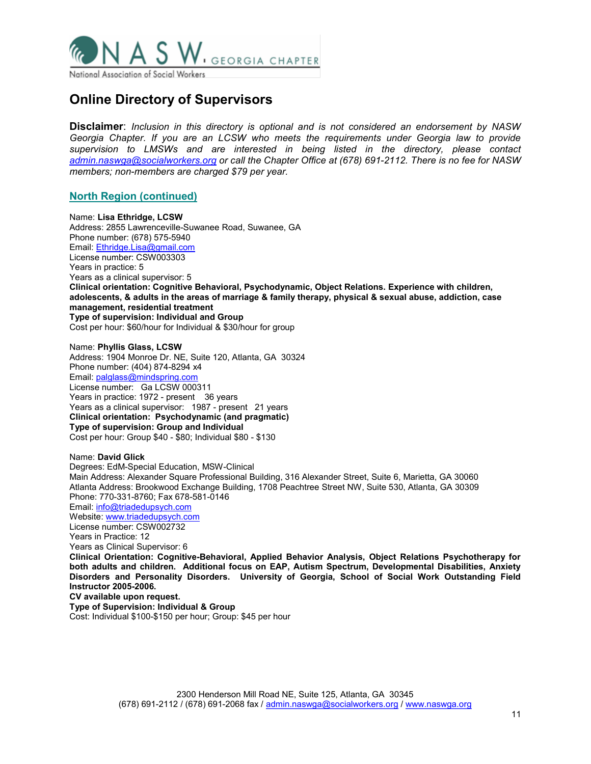

Disclaimer: Inclusion in this directory is optional and is not considered an endorsement by NASW Georgia Chapter. If you are an LCSW who meets the requirements under Georgia law to provide supervision to LMSWs and are interested in being listed in the directory, please contact admin.naswga@socialworkers.org or call the Chapter Office at (678) 691-2112. There is no fee for NASW members; non-members are charged \$79 per year.

### North Region (continued)

Name: Lisa Ethridge, LCSW Address: 2855 Lawrenceville-Suwanee Road, Suwanee, GA Phone number: (678) 575-5940 Email: Ethridge.Lisa@gmail.com License number: CSW003303 Years in practice: 5 Years as a clinical supervisor: 5 Clinical orientation: Cognitive Behavioral, Psychodynamic, Object Relations. Experience with children, adolescents, & adults in the areas of marriage & family therapy, physical & sexual abuse, addiction, case management, residential treatment Type of supervision: Individual and Group Cost per hour: \$60/hour for Individual & \$30/hour for group

Name: Phyllis Glass, LCSW Address: 1904 Monroe Dr. NE, Suite 120, Atlanta, GA 30324 Phone number: (404) 874-8294 x4 Email: palglass@mindspring.com License number: Ga LCSW 000311 Years in practice: 1972 - present 36 years Years as a clinical supervisor: 1987 - present 21 years Clinical orientation: Psychodynamic (and pragmatic) Type of supervision: Group and Individual Cost per hour: Group \$40 - \$80; Individual \$80 - \$130

Name: David Glick Degrees: EdM-Special Education, MSW-Clinical Main Address: Alexander Square Professional Building, 316 Alexander Street, Suite 6, Marietta, GA 30060 Atlanta Address: Brookwood Exchange Building, 1708 Peachtree Street NW, Suite 530, Atlanta, GA 30309 Phone: 770-331-8760; Fax 678-581-0146 Email: info@triadedupsych.com Website: www.triadedupsych.com License number: CSW002732 Years in Practice: 12 Years as Clinical Supervisor: 6 Clinical Orientation: Cognitive-Behavioral, Applied Behavior Analysis, Object Relations Psychotherapy for both adults and children. Additional focus on EAP, Autism Spectrum, Developmental Disabilities, Anxiety Disorders and Personality Disorders. University of Georgia, School of Social Work Outstanding Field Instructor 2005-2006. CV available upon request. Type of Supervision: Individual & Group Cost: Individual \$100-\$150 per hour; Group: \$45 per hour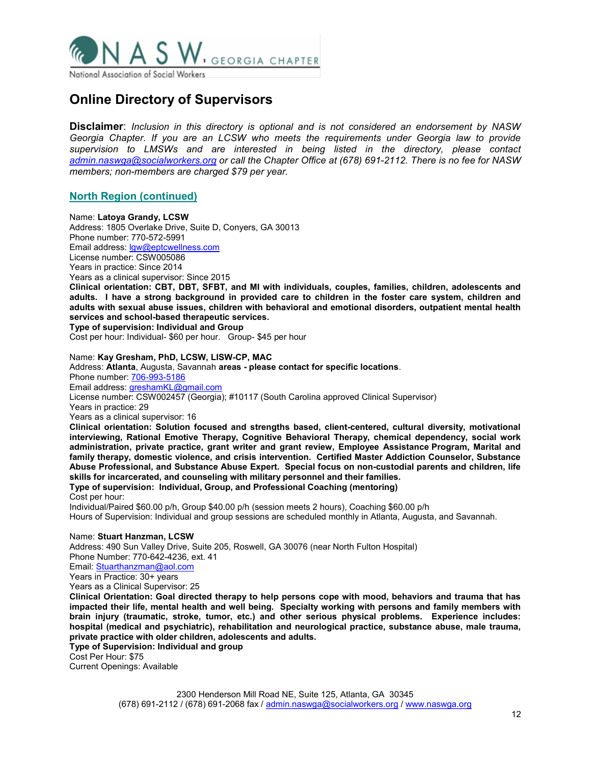

Disclaimer: Inclusion in this directory is optional and is not considered an endorsement by NASW Georgia Chapter. If you are an LCSW who meets the requirements under Georgia law to provide supervision to LMSWs and are interested in being listed in the directory, please contact admin.naswga@socialworkers.org or call the Chapter Office at (678) 691-2112. There is no fee for NASW members; non-members are charged \$79 per year.

### North Region (continued)

Name: Latoya Grandy, LCSW

Address: 1805 Overlake Drive, Suite D, Conyers, GA 30013 Phone number: 770-572-5991 Email address: lgw@eptcwellness.com License number: CSW005086 Years in practice: Since 2014 Years as a clinical supervisor: Since 2015

Clinical orientation: CBT, DBT, SFBT, and MI with individuals, couples, families, children, adolescents and adults. I have a strong background in provided care to children in the foster care system, children and adults with sexual abuse issues, children with behavioral and emotional disorders, outpatient mental health services and school-based therapeutic services.

Type of supervision: Individual and Group

Cost per hour: Individual- \$60 per hour. Group- \$45 per hour

#### Name: Kay Gresham, PhD, LCSW, LISW-CP, MAC

Address: Atlanta, Augusta, Savannah areas - please contact for specific locations.

Phone number: 706-993-5186 Email address: greshamKL@gmail.com

License number: CSW002457 (Georgia); #10117 (South Carolina approved Clinical Supervisor)

Years in practice: 29

Years as a clinical supervisor: 16

Clinical orientation: Solution focused and strengths based, client-centered, cultural diversity, motivational interviewing, Rational Emotive Therapy, Cognitive Behavioral Therapy, chemical dependency, social work administration, private practice, grant writer and grant review, Employee Assistance Program, Marital and family therapy, domestic violence, and crisis intervention. Certified Master Addiction Counselor, Substance Abuse Professional, and Substance Abuse Expert. Special focus on non-custodial parents and children, life skills for incarcerated, and counseling with military personnel and their families. Type of supervision: Individual, Group, and Professional Coaching (mentoring)

Cost per hour:

Individual/Paired \$60.00 p/h, Group \$40.00 p/h (session meets 2 hours), Coaching \$60.00 p/h Hours of Supervision: Individual and group sessions are scheduled monthly in Atlanta, Augusta, and Savannah.

#### Name: Stuart Hanzman, LCSW

Address: 490 Sun Valley Drive, Suite 205, Roswell, GA 30076 (near North Fulton Hospital)

Phone Number: 770-642-4236, ext. 41

Email: Stuarthanzman@aol.com

Years in Practice: 30+ years

Years as a Clinical Supervisor: 25

Clinical Orientation: Goal directed therapy to help persons cope with mood, behaviors and trauma that has impacted their life, mental health and well being. Specialty working with persons and family members with brain injury (traumatic, stroke, tumor, etc.) and other serious physical problems. Experience includes: hospital (medical and psychiatric), rehabilitation and neurological practice, substance abuse, male trauma, private practice with older children, adolescents and adults.

Type of Supervision: Individual and group

Cost Per Hour: \$75 Current Openings: Available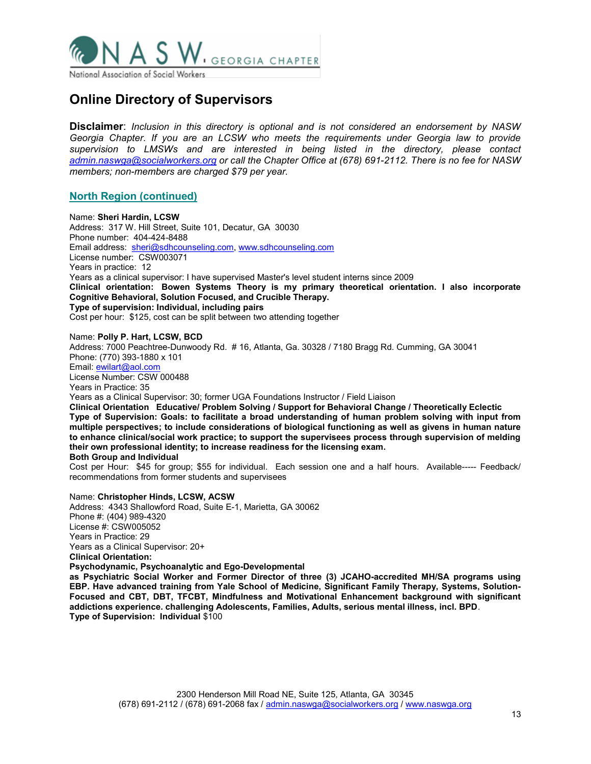

Disclaimer: Inclusion in this directory is optional and is not considered an endorsement by NASW Georgia Chapter. If you are an LCSW who meets the requirements under Georgia law to provide supervision to LMSWs and are interested in being listed in the directory, please contact admin.naswga@socialworkers.org or call the Chapter Office at (678) 691-2112. There is no fee for NASW members; non-members are charged \$79 per year.

### North Region (continued)

Name: Sheri Hardin, LCSW Address: 317 W. Hill Street, Suite 101, Decatur, GA 30030 Phone number: 404-424-8488 Email address: sheri@sdhcounseling.com, www.sdhcounseling.com License number: CSW003071 Years in practice: 12 Years as a clinical supervisor: I have supervised Master's level student interns since 2009 Clinical orientation: Bowen Systems Theory is my primary theoretical orientation. I also incorporate Cognitive Behavioral, Solution Focused, and Crucible Therapy. Type of supervision: Individual, including pairs

Cost per hour: \$125, cost can be split between two attending together

#### Name: Polly P. Hart, LCSW, BCD

Address: 7000 Peachtree-Dunwoody Rd. # 16, Atlanta, Ga. 30328 / 7180 Bragg Rd. Cumming, GA 30041 Phone: (770) 393-1880 x 101 Email: ewilart@aol.com License Number: CSW 000488 Years in Practice: 35

Years as a Clinical Supervisor: 30; former UGA Foundations Instructor / Field Liaison

Clinical Orientation Educative/ Problem Solving / Support for Behavioral Change / Theoretically Eclectic Type of Supervision: Goals: to facilitate a broad understanding of human problem solving with input from multiple perspectives; to include considerations of biological functioning as well as givens in human nature to enhance clinical/social work practice; to support the supervisees process through supervision of melding their own professional identity; to increase readiness for the licensing exam.

#### Both Group and Individual

Cost per Hour: \$45 for group; \$55 for individual. Each session one and a half hours. Available----- Feedback/ recommendations from former students and supervisees

Name: Christopher Hinds, LCSW, ACSW Address: 4343 Shallowford Road, Suite E-1, Marietta, GA 30062 Phone #: (404) 989-4320 License #: CSW005052 Years in Practice: 29 Years as a Clinical Supervisor: 20+ Clinical Orientation: Psychodynamic, Psychoanalytic and Ego-Developmental

as Psychiatric Social Worker and Former Director of three (3) JCAHO-accredited MH/SA programs using EBP. Have advanced training from Yale School of Medicine, Significant Family Therapy, Systems, Solution-Focused and CBT, DBT, TFCBT, Mindfulness and Motivational Enhancement background with significant addictions experience. challenging Adolescents, Families, Adults, serious mental illness, incl. BPD. Type of Supervision: Individual \$100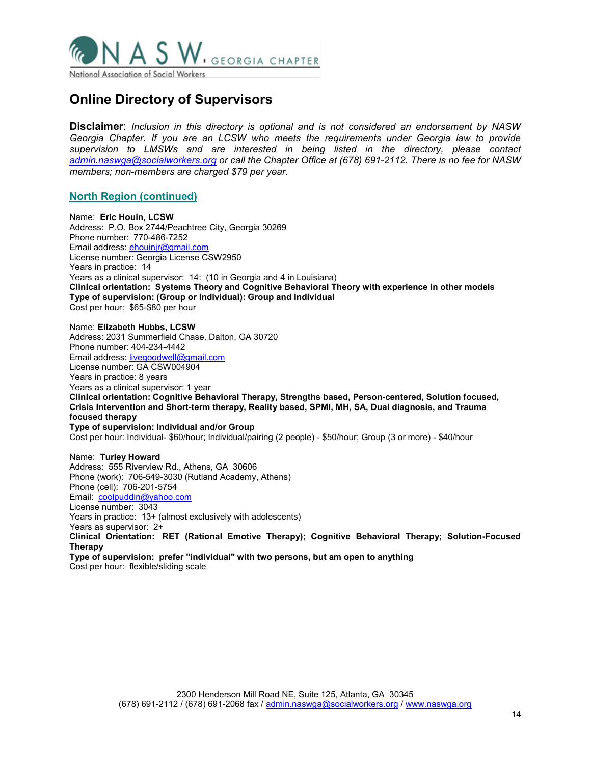

Disclaimer: Inclusion in this directory is optional and is not considered an endorsement by NASW Georgia Chapter. If you are an LCSW who meets the requirements under Georgia law to provide supervision to LMSWs and are interested in being listed in the directory, please contact admin.naswga@socialworkers.org or call the Chapter Office at (678) 691-2112. There is no fee for NASW members; non-members are charged \$79 per year.

### North Region (continued)

Name: Eric Houin, LCSW Address: P.O. Box 2744/Peachtree City, Georgia 30269 Phone number: 770-486-7252 Email address: ehouinjr@gmail.com License number: Georgia License CSW2950 Years in practice: 14 Years as a clinical supervisor: 14: (10 in Georgia and 4 in Louisiana) Clinical orientation: Systems Theory and Cognitive Behavioral Theory with experience in other models Type of supervision: (Group or Individual): Group and Individual Cost per hour: \$65-\$80 per hour

Name: Elizabeth Hubbs, LCSW Address: 2031 Summerfield Chase, Dalton, GA 30720 Phone number: 404-234-4442 Email address: livegoodwell@gmail.com License number: GA CSW004904 Years in practice: 8 years Years as a clinical supervisor: 1 year Clinical orientation: Cognitive Behavioral Therapy, Strengths based, Person-centered, Solution focused, Crisis Intervention and Short-term therapy, Reality based, SPMI, MH, SA, Dual diagnosis, and Trauma focused therapy Type of supervision: Individual and/or Group Cost per hour: Individual- \$60/hour; Individual/pairing (2 people) - \$50/hour; Group (3 or more) - \$40/hour

Name: Turley Howard Address: 555 Riverview Rd., Athens, GA 30606 Phone (work): 706-549-3030 (Rutland Academy, Athens) Phone (cell): 706-201-5754 Email: coolpuddin@yahoo.com License number: 3043 Years in practice: 13+ (almost exclusively with adolescents) Years as supervisor: 2+ Clinical Orientation: RET (Rational Emotive Therapy); Cognitive Behavioral Therapy; Solution-Focused Therapy Type of supervision: prefer "individual" with two persons, but am open to anything Cost per hour: flexible/sliding scale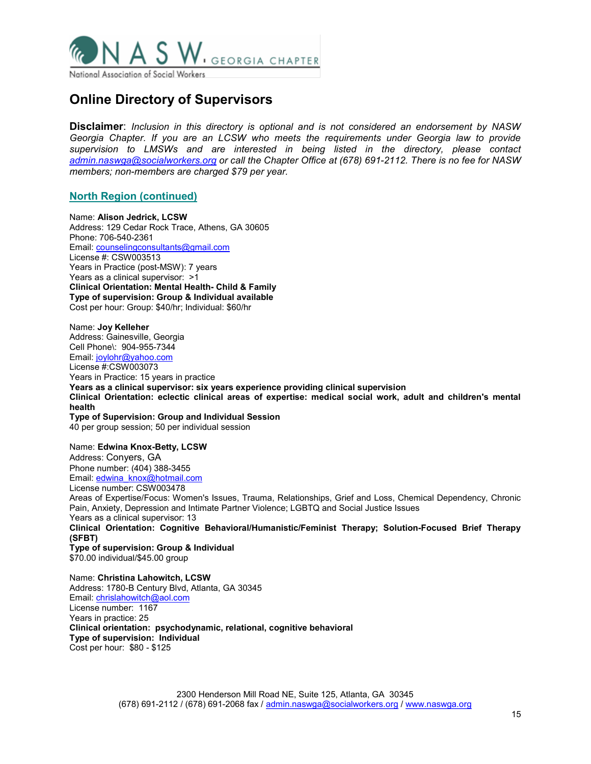

**Disclaimer**: Inclusion in this directory is optional and is not considered an endorsement by NASW Georgia Chapter. If you are an LCSW who meets the requirements under Georgia law to provide supervision to LMSWs and are interested in being listed in the directory, please contact admin.naswga@socialworkers.org or call the Chapter Office at (678) 691-2112. There is no fee for NASW members; non-members are charged \$79 per year.

### North Region (continued)

Name: Alison Jedrick, LCSW Address: 129 Cedar Rock Trace, Athens, GA 30605 Phone: 706-540-2361 Email: counselingconsultants@gmail.com License #: CSW003513 Years in Practice (post-MSW): 7 years Years as a clinical supervisor: >1 Clinical Orientation: Mental Health- Child & Family Type of supervision: Group & Individual available Cost per hour: Group: \$40/hr; Individual: \$60/hr

Name: Joy Kelleher Address: Gainesville, Georgia Cell Phone\: 904-955-7344 Email: joylohr@yahoo.com License #:CSW003073 Years in Practice: 15 years in practice Years as a clinical supervisor: six years experience providing clinical supervision Clinical Orientation: eclectic clinical areas of expertise: medical social work, adult and children's mental health

Type of Supervision: Group and Individual Session 40 per group session; 50 per individual session

Name: Edwina Knox-Betty, LCSW Address: Conyers, GA Phone number: (404) 388-3455 Email: edwina\_knox@hotmail.com License number: CSW003478

Areas of Expertise/Focus: Women's Issues, Trauma, Relationships, Grief and Loss, Chemical Dependency, Chronic Pain, Anxiety, Depression and Intimate Partner Violence; LGBTQ and Social Justice Issues Years as a clinical supervisor: 13

Clinical Orientation: Cognitive Behavioral/Humanistic/Feminist Therapy; Solution-Focused Brief Therapy (SFBT)

Type of supervision: Group & Individual \$70.00 individual/\$45.00 group

Name: Christina Lahowitch, LCSW Address: 1780-B Century Blvd, Atlanta, GA 30345 Email: chrislahowitch@aol.com License number: 1167 Years in practice: 25 Clinical orientation: psychodynamic, relational, cognitive behavioral Type of supervision: Individual Cost per hour: \$80 - \$125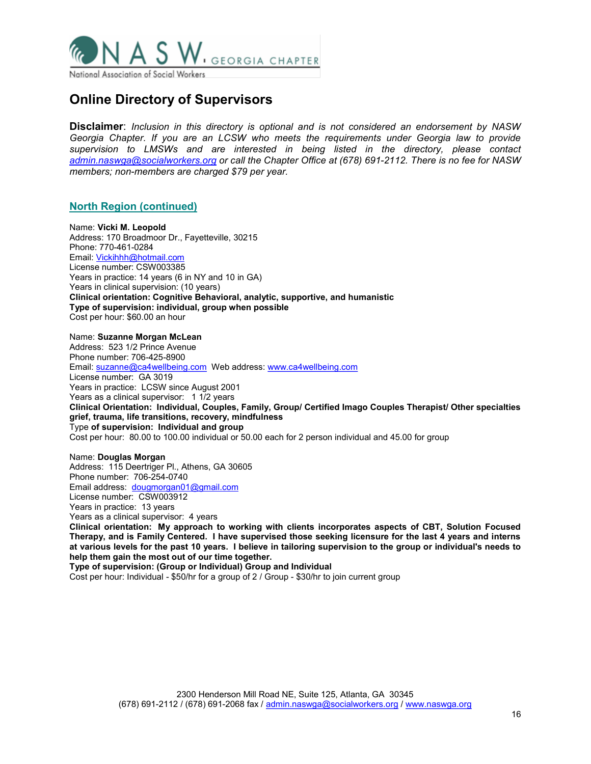

Disclaimer: Inclusion in this directory is optional and is not considered an endorsement by NASW Georgia Chapter. If you are an LCSW who meets the requirements under Georgia law to provide supervision to LMSWs and are interested in being listed in the directory, please contact admin.naswga@socialworkers.org or call the Chapter Office at (678) 691-2112. There is no fee for NASW members; non-members are charged \$79 per year.

### North Region (continued)

Name: Vicki M. Leopold Address: 170 Broadmoor Dr., Fayetteville, 30215 Phone: 770-461-0284 Email: Vickihhh@hotmail.com License number: CSW003385 Years in practice: 14 years (6 in NY and 10 in GA) Years in clinical supervision: (10 years) Clinical orientation: Cognitive Behavioral, analytic, supportive, and humanistic Type of supervision: individual, group when possible Cost per hour: \$60.00 an hour

Name: Suzanne Morgan McLean Address: 523 1/2 Prince Avenue Phone number: 706-425-8900 Email: suzanne@ca4wellbeing.com Web address: www.ca4wellbeing.com License number: GA 3019 Years in practice: LCSW since August 2001 Years as a clinical supervisor: 1 1/2 years Clinical Orientation: Individual, Couples, Family, Group/ Certified Imago Couples Therapist/ Other specialties grief, trauma, life transitions, recovery, mindfulness Type of supervision: Individual and group Cost per hour: 80.00 to 100.00 individual or 50.00 each for 2 person individual and 45.00 for group

Name: Douglas Morgan Address: 115 Deertriger Pl., Athens, GA 30605 Phone number: 706-254-0740 Email address: dougmorgan01@gmail.com License number: CSW003912 Years in practice: 13 years Years as a clinical supervisor: 4 years Clinical orientation: My approach to working with clients incorporates aspects of CBT, Solution Focused Therapy, and is Family Centered. I have supervised those seeking licensure for the last 4 years and interns

at various levels for the past 10 years. I believe in tailoring supervision to the group or individual's needs to help them gain the most out of our time together.

Type of supervision: (Group or Individual) Group and Individual

Cost per hour: Individual - \$50/hr for a group of 2 / Group - \$30/hr to join current group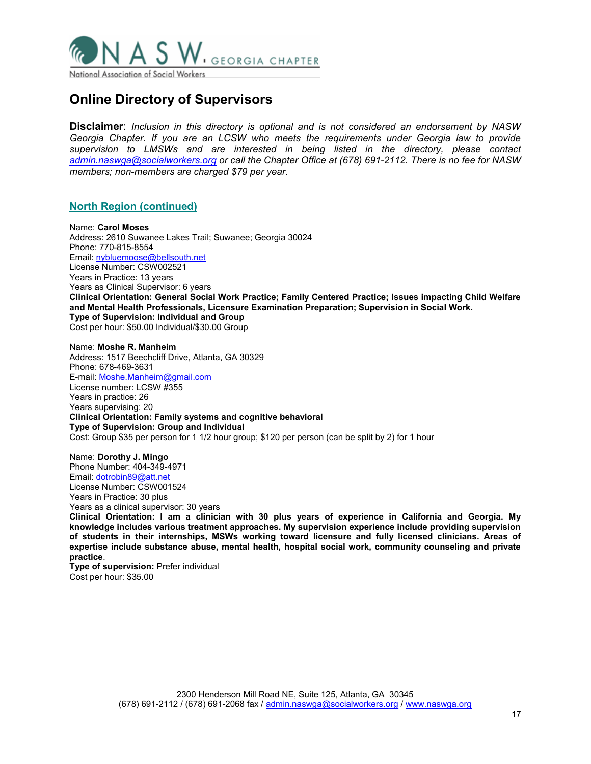

Disclaimer: Inclusion in this directory is optional and is not considered an endorsement by NASW Georgia Chapter. If you are an LCSW who meets the requirements under Georgia law to provide supervision to LMSWs and are interested in being listed in the directory, please contact admin.naswga@socialworkers.org or call the Chapter Office at (678) 691-2112. There is no fee for NASW members; non-members are charged \$79 per year.

### North Region (continued)

Name: Carol Moses Address: 2610 Suwanee Lakes Trail; Suwanee; Georgia 30024 Phone: 770-815-8554 Email: nybluemoose@bellsouth.net License Number: CSW002521 Years in Practice: 13 years Years as Clinical Supervisor: 6 years Clinical Orientation: General Social Work Practice; Family Centered Practice; Issues impacting Child Welfare and Mental Health Professionals, Licensure Examination Preparation; Supervision in Social Work. Type of Supervision: Individual and Group Cost per hour: \$50.00 Individual/\$30.00 Group

Name: Moshe R. Manheim Address: 1517 Beechcliff Drive, Atlanta, GA 30329 Phone: 678-469-3631 E-mail: Moshe.Manheim@gmail.com License number: LCSW #355 Years in practice: 26 Years supervising: 20 Clinical Orientation: Family systems and cognitive behavioral Type of Supervision: Group and Individual Cost: Group \$35 per person for 1 1/2 hour group; \$120 per person (can be split by 2) for 1 hour

Name: Dorothy J. Mingo Phone Number: 404-349-4971 Email: dotrobin89@att.net License Number: CSW001524 Years in Practice: 30 plus Years as a clinical supervisor: 30 years Clinical Orientation: I am a clinician with 30 plus years of experience in California and Georgia. My

knowledge includes various treatment approaches. My supervision experience include providing supervision of students in their internships, MSWs working toward licensure and fully licensed clinicians. Areas of expertise include substance abuse, mental health, hospital social work, community counseling and private practice.

Type of supervision: Prefer individual Cost per hour: \$35.00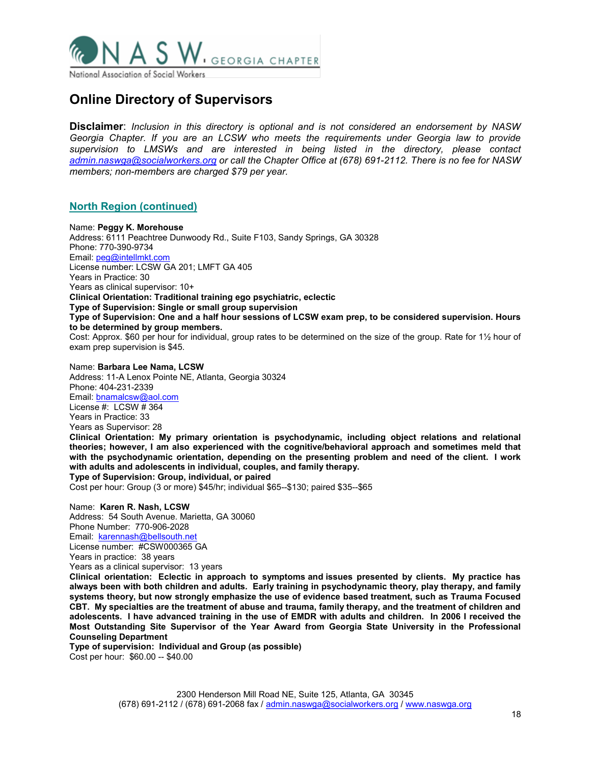

Disclaimer: Inclusion in this directory is optional and is not considered an endorsement by NASW Georgia Chapter. If you are an LCSW who meets the requirements under Georgia law to provide supervision to LMSWs and are interested in being listed in the directory, please contact admin.naswga@socialworkers.org or call the Chapter Office at (678) 691-2112. There is no fee for NASW members; non-members are charged \$79 per year.

### North Region (continued)

Name: Peggy K. Morehouse Address: 6111 Peachtree Dunwoody Rd., Suite F103, Sandy Springs, GA 30328 Phone: 770-390-9734 Email: peg@intellmkt.com License number: LCSW GA 201; LMFT GA 405 Years in Practice: 30 Years as clinical supervisor: 10+ Clinical Orientation: Traditional training ego psychiatric, eclectic Type of Supervision: Single or small group supervision Type of Supervision: One and a half hour sessions of LCSW exam prep, to be considered supervision. Hours to be determined by group members. Cost: Approx. \$60 per hour for individual, group rates to be determined on the size of the group. Rate for 1½ hour of exam prep supervision is \$45.

Name: Barbara Lee Nama, LCSW Address: 11-A Lenox Pointe NE, Atlanta, Georgia 30324 Phone: 404-231-2339 Email: bnamalcsw@aol.com License #: LCSW # 364 Years in Practice: 33 Years as Supervisor: 28 Clinical Orientation: My primary orientation is psychodynamic, including object relations and relational theories; however, I am also experienced with the cognitive/behavioral approach and sometimes meld that with the psychodynamic orientation, depending on the presenting problem and need of the client. I work with adults and adolescents in individual, couples, and family therapy. Type of Supervision: Group, individual, or paired Cost per hour: Group (3 or more) \$45/hr; individual \$65--\$130; paired \$35--\$65

Name: Karen R. Nash, LCSW Address: 54 South Avenue. Marietta, GA 30060 Phone Number: 770-906-2028 Email: karennash@bellsouth.net License number: #CSW000365 GA Years in practice: 38 years

Years as a clinical supervisor: 13 years

Clinical orientation: Eclectic in approach to symptoms and issues presented by clients. My practice has always been with both children and adults. Early training in psychodynamic theory, play therapy, and family systems theory, but now strongly emphasize the use of evidence based treatment, such as Trauma Focused CBT. My specialties are the treatment of abuse and trauma, family therapy, and the treatment of children and adolescents. I have advanced training in the use of EMDR with adults and children. In 2006 I received the Most Outstanding Site Supervisor of the Year Award from Georgia State University in the Professional Counseling Department

Type of supervision: Individual and Group (as possible) Cost per hour: \$60.00 -- \$40.00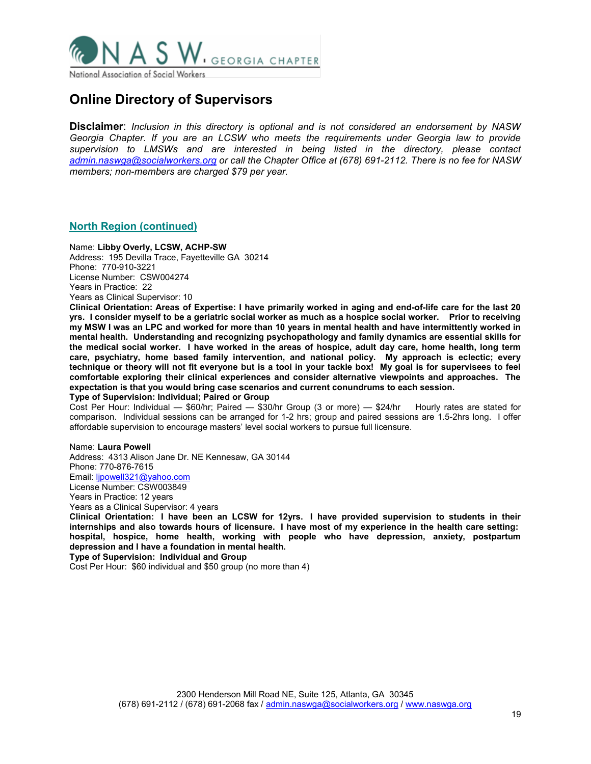

Disclaimer: Inclusion in this directory is optional and is not considered an endorsement by NASW Georgia Chapter. If you are an LCSW who meets the requirements under Georgia law to provide supervision to LMSWs and are interested in being listed in the directory, please contact admin.naswga@socialworkers.org or call the Chapter Office at (678) 691-2112. There is no fee for NASW members; non-members are charged \$79 per year.

### North Region (continued)

Name: Libby Overly, LCSW, ACHP-SW Address: 195 Devilla Trace, Fayetteville GA 30214 Phone: 770-910-3221 License Number: CSW004274 Years in Practice: 22 Years as Clinical Supervisor: 10

Clinical Orientation: Areas of Expertise: I have primarily worked in aging and end-of-life care for the last 20 yrs. I consider myself to be a geriatric social worker as much as a hospice social worker. Prior to receiving my MSW I was an LPC and worked for more than 10 years in mental health and have intermittently worked in mental health. Understanding and recognizing psychopathology and family dynamics are essential skills for the medical social worker. I have worked in the areas of hospice, adult day care, home health, long term care, psychiatry, home based family intervention, and national policy. My approach is eclectic; every technique or theory will not fit everyone but is a tool in your tackle box! My goal is for supervisees to feel comfortable exploring their clinical experiences and consider alternative viewpoints and approaches. The expectation is that you would bring case scenarios and current conundrums to each session.

Type of Supervision: Individual; Paired or Group

Cost Per Hour: Individual — \$60/hr; Paired — \$30/hr Group (3 or more) — \$24/hr Hourly rates are stated for comparison. Individual sessions can be arranged for 1-2 hrs; group and paired sessions are 1.5-2hrs long. I offer affordable supervision to encourage masters' level social workers to pursue full licensure.

Name: Laura Powell Address: 4313 Alison Jane Dr. NE Kennesaw, GA 30144 Phone: 770-876-7615 Email: ljpowell321@yahoo.com License Number: CSW003849 Years in Practice: 12 years

Years as a Clinical Supervisor: 4 years

Clinical Orientation: I have been an LCSW for 12yrs. I have provided supervision to students in their internships and also towards hours of licensure. I have most of my experience in the health care setting: hospital, hospice, home health, working with people who have depression, anxiety, postpartum depression and I have a foundation in mental health.

Type of Supervision: Individual and Group

Cost Per Hour: \$60 individual and \$50 group (no more than 4)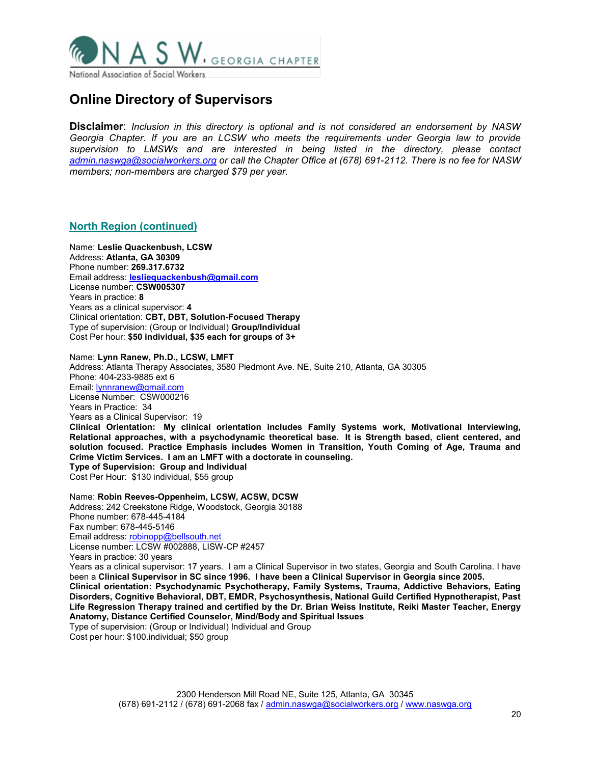

Disclaimer: Inclusion in this directory is optional and is not considered an endorsement by NASW Georgia Chapter. If you are an LCSW who meets the requirements under Georgia law to provide supervision to LMSWs and are interested in being listed in the directory, please contact admin.naswga@socialworkers.org or call the Chapter Office at (678) 691-2112. There is no fee for NASW members; non-members are charged \$79 per year.

### North Region (continued)

Name: Leslie Quackenbush, LCSW Address: Atlanta, GA 30309 Phone number: 269.317.6732 Email address: lesliequackenbush@gmail.com License number: CSW005307 Years in practice: 8 Years as a clinical supervisor: 4 Clinical orientation: CBT, DBT, Solution-Focused Therapy Type of supervision: (Group or Individual) Group/Individual Cost Per hour: \$50 individual, \$35 each for groups of 3+

Name: Lynn Ranew, Ph.D., LCSW, LMFT Address: Atlanta Therapy Associates, 3580 Piedmont Ave. NE, Suite 210, Atlanta, GA 30305 Phone: 404-233-9885 ext 6 Email: lynnranew@gmail.com License Number: CSW000216 Years in Practice: 34 Years as a Clinical Supervisor: 19 Clinical Orientation: My clinical orientation includes Family Systems work, Motivational Interviewing, Relational approaches, with a psychodynamic theoretical base. It is Strength based, client centered, and solution focused. Practice Emphasis includes Women in Transition, Youth Coming of Age, Trauma and Crime Victim Services. I am an LMFT with a doctorate in counseling.

Type of Supervision: Group and Individual Cost Per Hour: \$130 individual, \$55 group

Name: Robin Reeves-Oppenheim, LCSW, ACSW, DCSW Address: 242 Creekstone Ridge, Woodstock, Georgia 30188 Phone number: 678-445-4184 Fax number: 678-445-5146 Email address: robinopp@bellsouth.net License number: LCSW #002888, LISW-CP #2457 Years in practice: 30 years Years as a clinical supervisor: 17 years. I am a Clinical Supervisor in two states, Georgia and South Carolina. I have been a Clinical Supervisor in SC since 1996. I have been a Clinical Supervisor in Georgia since 2005.

Clinical orientation: Psychodynamic Psychotherapy, Family Systems, Trauma, Addictive Behaviors, Eating Disorders, Cognitive Behavioral, DBT, EMDR, Psychosynthesis, National Guild Certified Hypnotherapist, Past Life Regression Therapy trained and certified by the Dr. Brian Weiss Institute, Reiki Master Teacher, Energy Anatomy, Distance Certified Counselor, Mind/Body and Spiritual Issues

Type of supervision: (Group or Individual) Individual and Group Cost per hour: \$100.individual; \$50 group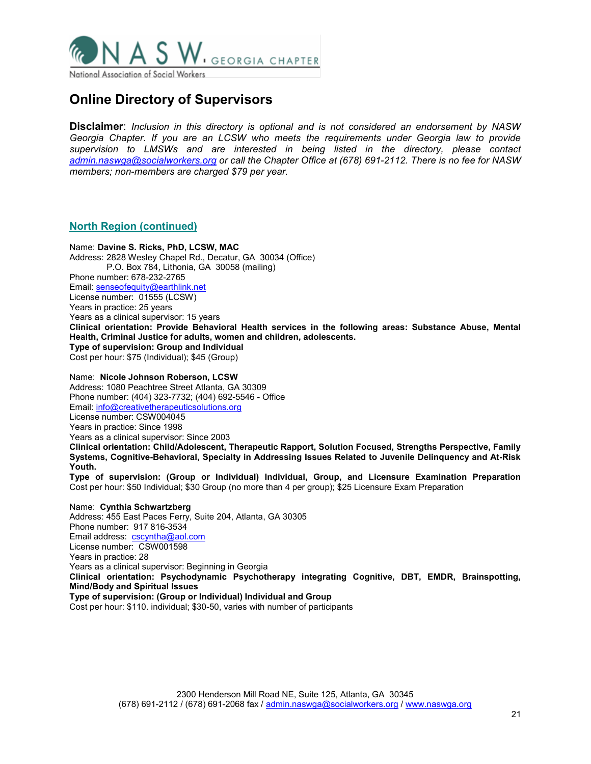

Disclaimer: Inclusion in this directory is optional and is not considered an endorsement by NASW Georgia Chapter. If you are an LCSW who meets the requirements under Georgia law to provide supervision to LMSWs and are interested in being listed in the directory, please contact admin.naswga@socialworkers.org or call the Chapter Office at (678) 691-2112. There is no fee for NASW members; non-members are charged \$79 per year.

### North Region (continued)

Name: Davine S. Ricks, PhD, LCSW, MAC Address: 2828 Wesley Chapel Rd., Decatur, GA 30034 (Office) P.O. Box 784, Lithonia, GA 30058 (mailing) Phone number: 678-232-2765 Email: senseofequity@earthlink.net License number: 01555 (LCSW) Years in practice: 25 years Years as a clinical supervisor: 15 years Clinical orientation: Provide Behavioral Health services in the following areas: Substance Abuse, Mental Health, Criminal Justice for adults, women and children, adolescents. Type of supervision: Group and Individual Cost per hour: \$75 (Individual); \$45 (Group)

Name: Nicole Johnson Roberson, LCSW Address: 1080 Peachtree Street Atlanta, GA 30309 Phone number: (404) 323-7732; (404) 692-5546 - Office Email: info@creativetherapeuticsolutions.org License number: CSW004045 Years in practice: Since 1998 Years as a clinical supervisor: Since 2003 Clinical orientation: Child/Adolescent, Therapeutic Rapport, Solution Focused, Strengths Perspective, Family Systems, Cognitive-Behavioral, Specialty in Addressing Issues Related to Juvenile Delinquency and At-Risk Youth.

Type of supervision: (Group or Individual) Individual, Group, and Licensure Examination Preparation Cost per hour: \$50 Individual; \$30 Group (no more than 4 per group); \$25 Licensure Exam Preparation

Name: Cynthia Schwartzberg Address: 455 East Paces Ferry, Suite 204, Atlanta, GA 30305 Phone number: 917 816-3534 Email address: cscyntha@aol.com License number: CSW001598 Years in practice: 28 Years as a clinical supervisor: Beginning in Georgia Clinical orientation: Psychodynamic Psychotherapy integrating Cognitive, DBT, EMDR, Brainspotting, Mind/Body and Spiritual Issues Type of supervision: (Group or Individual) Individual and Group

Cost per hour: \$110. individual; \$30-50, varies with number of participants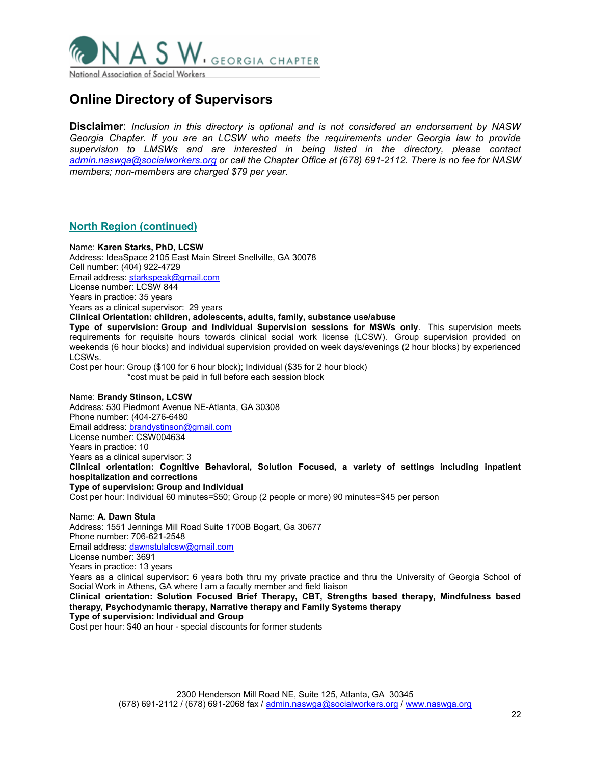

Disclaimer: Inclusion in this directory is optional and is not considered an endorsement by NASW Georgia Chapter. If you are an LCSW who meets the requirements under Georgia law to provide supervision to LMSWs and are interested in being listed in the directory, please contact admin.naswga@socialworkers.org or call the Chapter Office at (678) 691-2112. There is no fee for NASW members; non-members are charged \$79 per year.

### North Region (continued)

Name: Karen Starks, PhD, LCSW Address: IdeaSpace 2105 East Main Street Snellville, GA 30078 Cell number: (404) 922-4729 Email address: starkspeak@gmail.com License number: LCSW 844 Years in practice: 35 years Years as a clinical supervisor: 29 years

#### Clinical Orientation: children, adolescents, adults, family, substance use/abuse

Type of supervision: Group and Individual Supervision sessions for MSWs only. This supervision meets requirements for requisite hours towards clinical social work license (LCSW). Group supervision provided on weekends (6 hour blocks) and individual supervision provided on week days/evenings (2 hour blocks) by experienced LCSWs.

Cost per hour: Group (\$100 for 6 hour block); Individual (\$35 for 2 hour block) \*cost must be paid in full before each session block

#### Name: Brandy Stinson, LCSW

Address: 530 Piedmont Avenue NE-Atlanta, GA 30308 Phone number: (404-276-6480 Email address: brandystinson@gmail.com License number: CSW004634 Years in practice: 10 Years as a clinical supervisor: 3 Clinical orientation: Cognitive Behavioral, Solution Focused, a variety of settings including inpatient hospitalization and corrections Type of supervision: Group and Individual Cost per hour: Individual 60 minutes=\$50; Group (2 people or more) 90 minutes=\$45 per person

Name: A. Dawn Stula Address: 1551 Jennings Mill Road Suite 1700B Bogart, Ga 30677 Phone number: 706-621-2548 Email address: dawnstulalcsw@gmail.com License number: 3691 Years in practice: 13 years Years as a clinical supervisor: 6 years both thru my private practice and thru the University of Georgia School of Social Work in Athens, GA where I am a faculty member and field liaison Clinical orientation: Solution Focused Brief Therapy, CBT, Strengths based therapy, Mindfulness based therapy, Psychodynamic therapy, Narrative therapy and Family Systems therapy Type of supervision: Individual and Group

Cost per hour: \$40 an hour - special discounts for former students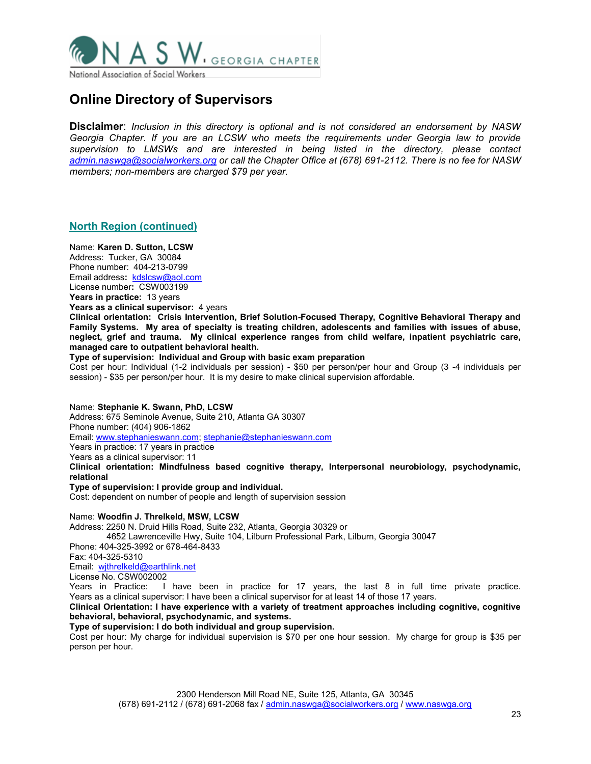

Disclaimer: Inclusion in this directory is optional and is not considered an endorsement by NASW Georgia Chapter. If you are an LCSW who meets the requirements under Georgia law to provide supervision to LMSWs and are interested in being listed in the directory, please contact admin.naswga@socialworkers.org or call the Chapter Office at (678) 691-2112. There is no fee for NASW members; non-members are charged \$79 per year.

### North Region (continued)

Name: Karen D. Sutton, LCSW Address: Tucker, GA 30084 Phone number: 404-213-0799 Email address: kdslcsw@aol.com License number: CSW003199 Years in practice: 13 years

Years as a clinical supervisor: 4 years

Clinical orientation: Crisis Intervention, Brief Solution-Focused Therapy, Cognitive Behavioral Therapy and Family Systems. My area of specialty is treating children, adolescents and families with issues of abuse, neglect, grief and trauma. My clinical experience ranges from child welfare, inpatient psychiatric care, managed care to outpatient behavioral health.

Type of supervision: Individual and Group with basic exam preparation

Cost per hour: Individual (1-2 individuals per session) - \$50 per person/per hour and Group (3 -4 individuals per session) - \$35 per person/per hour. It is my desire to make clinical supervision affordable.

#### Name: Stephanie K. Swann, PhD, LCSW

Address: 675 Seminole Avenue, Suite 210, Atlanta GA 30307 Phone number: (404) 906-1862 Email: www.stephanieswann.com; stephanie@stephanieswann.com Years in practice: 17 years in practice Years as a clinical supervisor: 11

Clinical orientation: Mindfulness based cognitive therapy, Interpersonal neurobiology, psychodynamic, relational

#### Type of supervision: I provide group and individual.

Cost: dependent on number of people and length of supervision session

#### Name: Woodfin J. Threlkeld, MSW, LCSW

Address: 2250 N. Druid Hills Road, Suite 232, Atlanta, Georgia 30329 or 4652 Lawrenceville Hwy, Suite 104, Lilburn Professional Park, Lilburn, Georgia 30047

Phone: 404-325-3992 or 678-464-8433

Fax: 404-325-5310

Email: wjthrelkeld@earthlink.net

License No. CSW002002

Years in Practice: I have been in practice for 17 years, the last 8 in full time private practice. Years as a clinical supervisor: I have been a clinical supervisor for at least 14 of those 17 years.

#### Clinical Orientation: I have experience with a variety of treatment approaches including cognitive, cognitive behavioral, behavioral, psychodynamic, and systems.

Type of supervision: I do both individual and group supervision.

Cost per hour: My charge for individual supervision is \$70 per one hour session. My charge for group is \$35 per person per hour.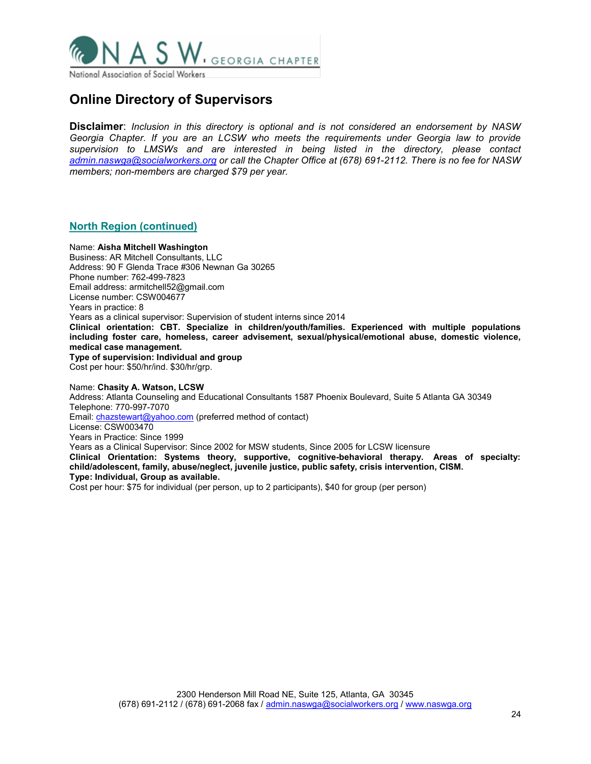

Disclaimer: Inclusion in this directory is optional and is not considered an endorsement by NASW Georgia Chapter. If you are an LCSW who meets the requirements under Georgia law to provide supervision to LMSWs and are interested in being listed in the directory, please contact admin.naswga@socialworkers.org or call the Chapter Office at (678) 691-2112. There is no fee for NASW members; non-members are charged \$79 per year.

### North Region (continued)

Name: Aisha Mitchell Washington Business: AR Mitchell Consultants, LLC Address: 90 F Glenda Trace #306 Newnan Ga 30265 Phone number: 762-499-7823 Email address: armitchell52@gmail.com License number: CSW004677 Years in practice: 8 Years as a clinical supervisor: Supervision of student interns since 2014 Clinical orientation: CBT. Specialize in children/youth/families. Experienced with multiple populations including foster care, homeless, career advisement, sexual/physical/emotional abuse, domestic violence, medical case management. Type of supervision: Individual and group Cost per hour: \$50/hr/ind. \$30/hr/grp. Name: Chasity A. Watson, LCSW Address: Atlanta Counseling and Educational Consultants 1587 Phoenix Boulevard, Suite 5 Atlanta GA 30349

Telephone: 770-997-7070 Email: chazstewart@yahoo.com (preferred method of contact) License: CSW003470 Years in Practice: Since 1999 Years as a Clinical Supervisor: Since 2002 for MSW students, Since 2005 for LCSW licensure Clinical Orientation: Systems theory, supportive, cognitive-behavioral therapy. Areas of specialty: child/adolescent, family, abuse/neglect, juvenile justice, public safety, crisis intervention, CISM.

#### Type: Individual, Group as available.

Cost per hour: \$75 for individual (per person, up to 2 participants), \$40 for group (per person)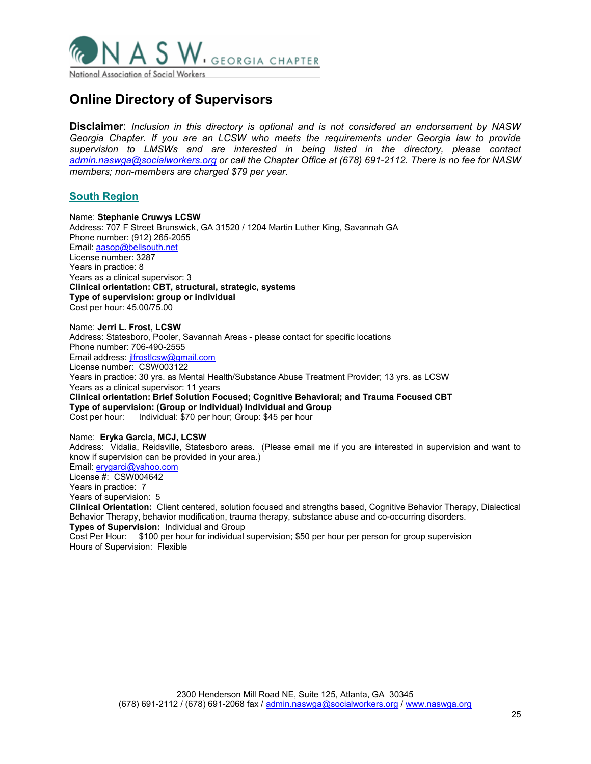

Disclaimer: Inclusion in this directory is optional and is not considered an endorsement by NASW Georgia Chapter. If you are an LCSW who meets the requirements under Georgia law to provide supervision to LMSWs and are interested in being listed in the directory, please contact admin.naswga@socialworkers.org or call the Chapter Office at (678) 691-2112. There is no fee for NASW members; non-members are charged \$79 per year.

### South Region

Name: Stephanie Cruwys LCSW Address: 707 F Street Brunswick, GA 31520 / 1204 Martin Luther King, Savannah GA Phone number: (912) 265-2055 Email: aasop@bellsouth.net License number: 3287 Years in practice: 8 Years as a clinical supervisor: 3 Clinical orientation: CBT, structural, strategic, systems Type of supervision: group or individual Cost per hour: 45.00/75.00

Name: Jerri L. Frost, LCSW Address: Statesboro, Pooler, Savannah Areas - please contact for specific locations Phone number: 706-490-2555 Email address: *ilfrostlcsw@gmail.com* License number: CSW003122 Years in practice: 30 yrs. as Mental Health/Substance Abuse Treatment Provider; 13 yrs. as LCSW Years as a clinical supervisor: 11 years Clinical orientation: Brief Solution Focused; Cognitive Behavioral; and Trauma Focused CBT Type of supervision: (Group or Individual) Individual and Group Cost per hour: Individual: \$70 per hour; Group: \$45 per hour

#### Name: Eryka Garcia, MCJ, LCSW

Address: Vidalia, Reidsville, Statesboro areas. (Please email me if you are interested in supervision and want to know if supervision can be provided in your area.)

Email: erygarci@yahoo.com

License #: CSW004642 Years in practice: 7

Years of supervision: 5

Clinical Orientation: Client centered, solution focused and strengths based, Cognitive Behavior Therapy, Dialectical Behavior Therapy, behavior modification, trauma therapy, substance abuse and co-occurring disorders. Types of Supervision: Individual and Group

Cost Per Hour: \$100 per hour for individual supervision; \$50 per hour per person for group supervision Hours of Supervision: Flexible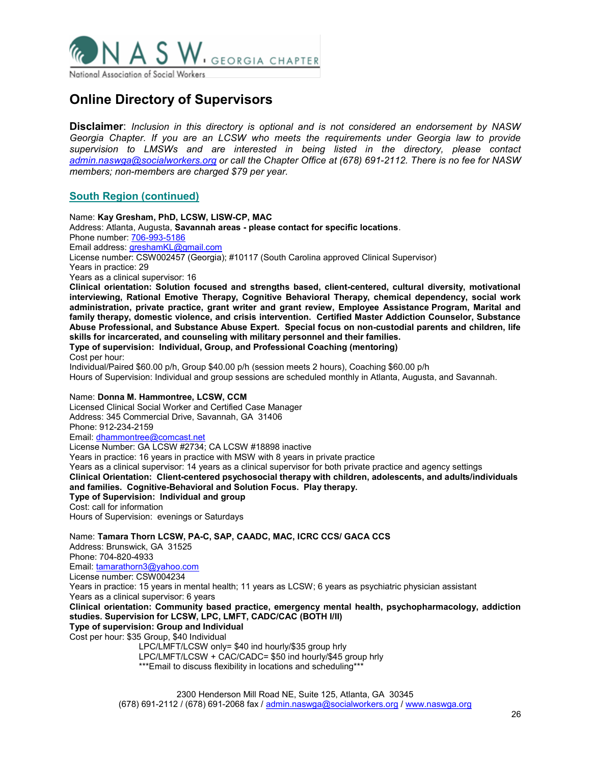

Disclaimer: Inclusion in this directory is optional and is not considered an endorsement by NASW Georgia Chapter. If you are an LCSW who meets the requirements under Georgia law to provide supervision to LMSWs and are interested in being listed in the directory, please contact admin.naswga@socialworkers.org or call the Chapter Office at (678) 691-2112. There is no fee for NASW members; non-members are charged \$79 per year.

### South Region (continued)

Name: Kay Gresham, PhD, LCSW, LISW-CP, MAC Address: Atlanta, Augusta, Savannah areas - please contact for specific locations. Phone number: 706-993-5186 Email address: greshamKL@gmail.com License number: CSW002457 (Georgia); #10117 (South Carolina approved Clinical Supervisor) Years in practice: 29 Years as a clinical supervisor: 16 Clinical orientation: Solution focused and strengths based, client-centered, cultural diversity, motivational interviewing, Rational Emotive Therapy, Cognitive Behavioral Therapy, chemical dependency, social work administration, private practice, grant writer and grant review, Employee Assistance Program, Marital and family therapy, domestic violence, and crisis intervention. Certified Master Addiction Counselor, Substance Abuse Professional, and Substance Abuse Expert. Special focus on non-custodial parents and children, life skills for incarcerated, and counseling with military personnel and their families. Type of supervision: Individual, Group, and Professional Coaching (mentoring) Cost per hour: Individual/Paired \$60.00 p/h, Group \$40.00 p/h (session meets 2 hours), Coaching \$60.00 p/h Hours of Supervision: Individual and group sessions are scheduled monthly in Atlanta, Augusta, and Savannah. Name: Donna M. Hammontree, LCSW, CCM Licensed Clinical Social Worker and Certified Case Manager Address: 345 Commercial Drive, Savannah, GA 31406 Phone: 912-234-2159 Email: dhammontree@comcast.net License Number: GA LCSW #2734; CA LCSW #18898 inactive Years in practice: 16 years in practice with MSW with 8 years in private practice Years as a clinical supervisor: 14 years as a clinical supervisor for both private practice and agency settings Clinical Orientation: Client-centered psychosocial therapy with children, adolescents, and adults/individuals and families. Cognitive-Behavioral and Solution Focus. Play therapy. Type of Supervision: Individual and group Cost: call for information Hours of Supervision: evenings or Saturdays Name: Tamara Thorn LCSW, PA-C, SAP, CAADC, MAC, ICRC CCS/ GACA CCS Address: Brunswick, GA 31525 Phone: 704-820-4933 Email: tamarathorn3@yahoo.com License number: CSW004234 Years in practice: 15 years in mental health; 11 years as LCSW; 6 years as psychiatric physician assistant Years as a clinical supervisor: 6 years Clinical orientation: Community based practice, emergency mental health, psychopharmacology, addiction studies. Supervision for LCSW, LPC, LMFT, CADC/CAC (BOTH I/II) Type of supervision: Group and Individual Cost per hour: \$35 Group, \$40 Individual LPC/LMFT/LCSW only= \$40 ind hourly/\$35 group hrly LPC/LMFT/LCSW + CAC/CADC= \$50 ind hourly/\$45 group hrly \*\*\*Email to discuss flexibility in locations and scheduling\*\*\*